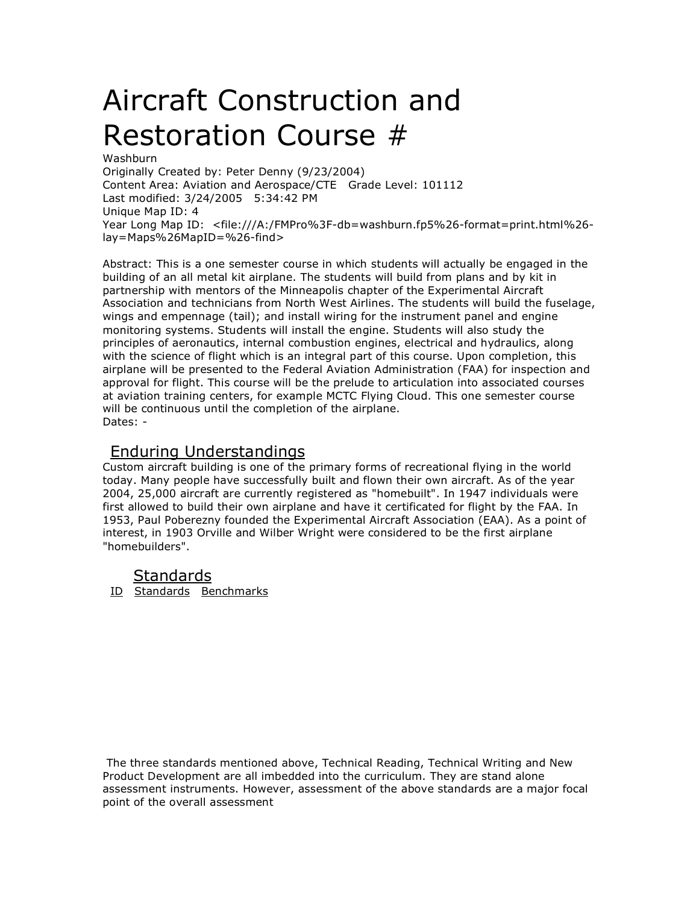# Aircraft Construction and Restoration Course #

Washburn Originally Created by: Peter Denny (9/23/2004) Content Area: Aviation and Aerospace/CTE Grade Level: 101112 Last modified: 3/24/2005 5:34:42 PM Unique Map ID: 4 Year Long Map ID: <file:///A:/FMPro%3F-db=washburn.fp5%26-format=print.html%26 lay=Maps%26MapID=%26-find>

Abstract: This is a one semester course in which students will actually be engaged in the building of an all metal kit airplane. The students will build from plans and by kit in partnership with mentors of the Minneapolis chapter of the Experimental Aircraft Association and technicians from North West Airlines. The students will build the fuselage, wings and empennage (tail); and install wiring for the instrument panel and engine monitoring systems. Students will install the engine. Students will also study the principles of aeronautics, internal combustion engines, electrical and hydraulics, along with the science of flight which is an integral part of this course. Upon completion, this airplane will be presented to the Federal Aviation Administration (FAA) for inspection and approval for flight. This course will be the prelude to articulation into associated courses at aviation training centers, for example MCTC Flying Cloud. This one semester course will be continuous until the completion of the airplane. Dates: -

#### Enduring Understandings

Custom aircraft building is one of the primary forms of recreational flying in the world today. Many people have successfully built and flown their own aircraft. As of the year 2004, 25,000 aircraft are currently registered as "homebuilt". In 1947 individuals were first allowed to build their own airplane and have it certificated for flight by the FAA. In 1953, Paul Poberezny founded the Experimental Aircraft Association (EAA). As a point of interest, in 1903 Orville and Wilber Wright were considered to be the first airplane "homebuilders".

#### Standards

ID Standards Benchmarks

The three standards mentioned above, Technical Reading, Technical Writing and New Product Development are all imbedded into the curriculum. They are stand alone assessment instruments. However, assessment of the above standards are a major focal point of the overall assessment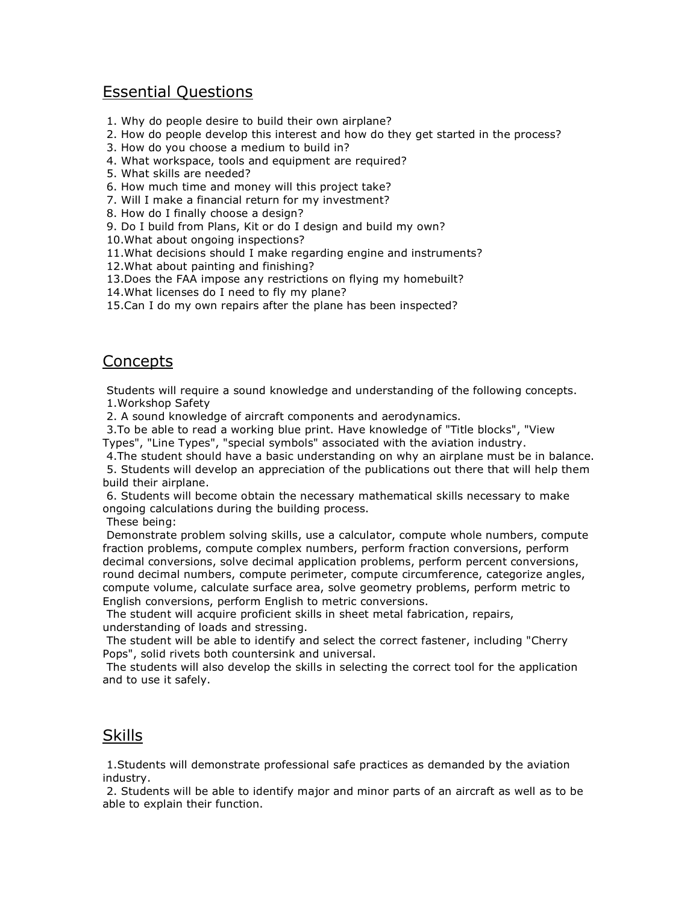## Essential Questions

- 1. Why do people desire to build their own airplane?
- 2. How do people develop this interest and how do they get started in the process?
- 3. How do you choose a medium to build in?
- 4. What workspace, tools and equipment are required?
- 5. What skills are needed?
- 6. How much time and money will this project take?
- 7. Will I make a financial return for my investment?
- 8. How do I finally choose a design?
- 9. Do I build from Plans, Kit or do I design and build my own?
- 10.What about ongoing inspections?
- 11.What decisions should I make regarding engine and instruments?
- 12.What about painting and finishing?
- 13.Does the FAA impose any restrictions on flying my homebuilt?
- 14.What licenses do I need to fly my plane?
- 15.Can I do my own repairs after the plane has been inspected?

## Concepts

Students will require a sound knowledge and understanding of the following concepts. 1.Workshop Safety

2. A sound knowledge of aircraft components and aerodynamics.

3.To be able to read a working blue print. Have knowledge of "Title blocks", "View Types", "Line Types", "special symbols" associated with the aviation industry.

4.The student should have a basic understanding on why an airplane must be in balance.

5. Students will develop an appreciation of the publications out there that will help them build their airplane.

6. Students will become obtain the necessary mathematical skills necessary to make ongoing calculations during the building process.

These being:

Demonstrate problem solving skills, use a calculator, compute whole numbers, compute fraction problems, compute complex numbers, perform fraction conversions, perform decimal conversions, solve decimal application problems, perform percent conversions, round decimal numbers, compute perimeter, compute circumference, categorize angles, compute volume, calculate surface area, solve geometry problems, perform metric to English conversions, perform English to metric conversions.

The student will acquire proficient skills in sheet metal fabrication, repairs, understanding of loads and stressing.

The student will be able to identify and select the correct fastener, including "Cherry Pops", solid rivets both countersink and universal.

The students will also develop the skills in selecting the correct tool for the application and to use it safely.

## **Skills**

1.Students will demonstrate professional safe practices as demanded by the aviation industry.

2. Students will be able to identify major and minor parts of an aircraft as well as to be able to explain their function.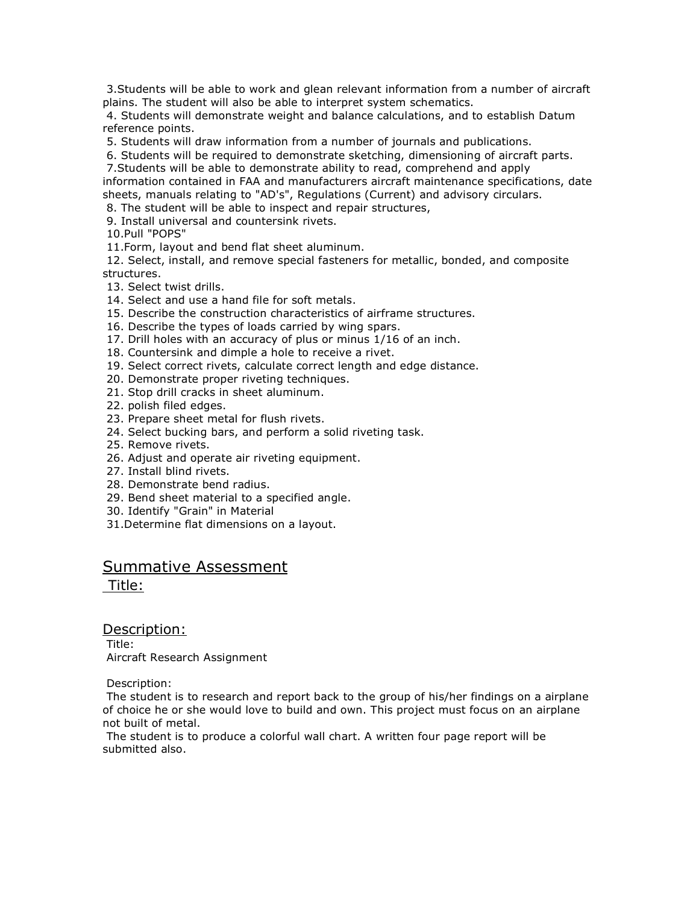3.Students will be able to work and glean relevant information from a number of aircraft plains. The student will also be able to interpret system schematics.

4. Students will demonstrate weight and balance calculations, and to establish Datum reference points.

5. Students will draw information from a number of journals and publications.

6. Students will be required to demonstrate sketching, dimensioning of aircraft parts.

7.Students will be able to demonstrate ability to read, comprehend and apply

information contained in FAA and manufacturers aircraft maintenance specifications, date sheets, manuals relating to "AD's", Regulations (Current) and advisory circulars.

8. The student will be able to inspect and repair structures,

9. Install universal and countersink rivets.

10.Pull "POPS"

11.Form, layout and bend flat sheet aluminum.

12. Select, install, and remove special fasteners for metallic, bonded, and composite structures.

- 13. Select twist drills.
- 14. Select and use a hand file for soft metals.
- 15. Describe the construction characteristics of airframe structures.
- 16. Describe the types of loads carried by wing spars.
- 17. Drill holes with an accuracy of plus or minus 1/16 of an inch.
- 18. Countersink and dimple a hole to receive a rivet.
- 19. Select correct rivets, calculate correct length and edge distance.
- 20. Demonstrate proper riveting techniques.
- 21. Stop drill cracks in sheet aluminum.
- 22. polish filed edges.
- 23. Prepare sheet metal for flush rivets.
- 24. Select bucking bars, and perform a solid riveting task.
- 25. Remove rivets.
- 26. Adjust and operate air riveting equipment.
- 27. Install blind rivets.
- 28. Demonstrate bend radius.
- 29. Bend sheet material to a specified angle.
- 30. Identify "Grain" in Material
- 31.Determine flat dimensions on a layout.

### Summative Assessment

Title:

Description: Title: Aircraft Research Assignment

Description:

The student is to research and report back to the group of his/her findings on a airplane of choice he or she would love to build and own. This project must focus on an airplane not built of metal.

The student is to produce a colorful wall chart. A written four page report will be submitted also.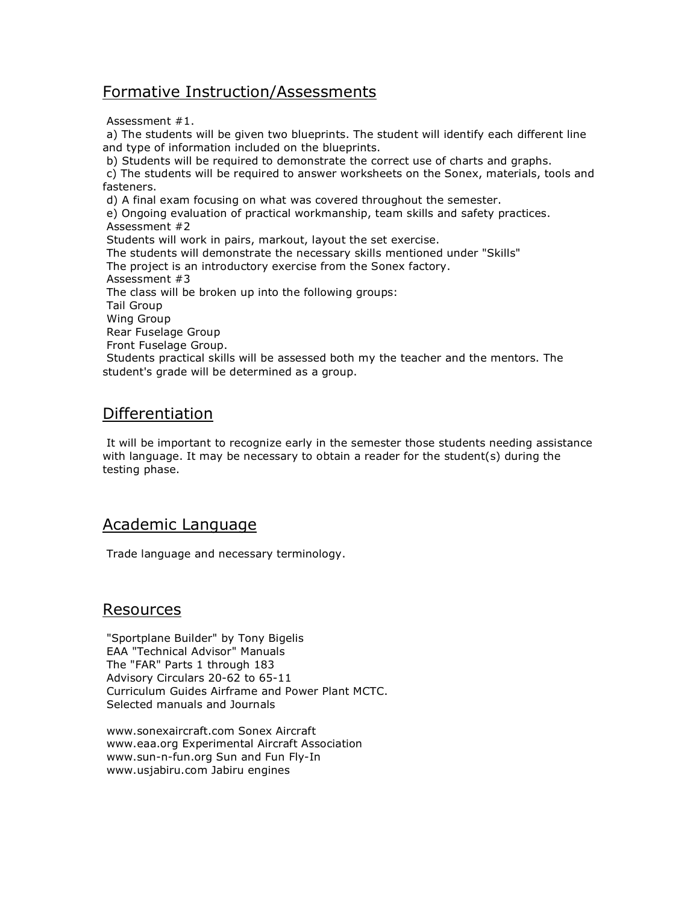## Formative Instruction/Assessments

Assessment #1.

a) The students will be given two blueprints. The student will identify each different line and type of information included on the blueprints. b) Students will be required to demonstrate the correct use of charts and graphs. c) The students will be required to answer worksheets on the Sonex, materials, tools and fasteners. d) A final exam focusing on what was covered throughout the semester. e) Ongoing evaluation of practical workmanship, team skills and safety practices. Assessment #2 Students will work in pairs, markout, layout the set exercise. The students will demonstrate the necessary skills mentioned under "Skills" The project is an introductory exercise from the Sonex factory. Assessment #3 The class will be broken up into the following groups: Tail Group Wing Group Rear Fuselage Group Front Fuselage Group. Students practical skills will be assessed both my the teacher and the mentors. The student's grade will be determined as a group.

## Differentiation

It will be important to recognize early in the semester those students needing assistance with language. It may be necessary to obtain a reader for the student(s) during the testing phase.

## Academic Language

Trade language and necessary terminology.

#### Resources

"Sportplane Builder" by Tony Bigelis EAA "Technical Advisor" Manuals The "FAR" Parts 1 through 183 Advisory Circulars 20-62 to 65-11 Curriculum Guides Airframe and Power Plant MCTC. Selected manuals and Journals

www.sonexaircraft.com Sonex Aircraft www.eaa.org Experimental Aircraft Association www.sun-n-fun.org Sun and Fun Fly-In www.usjabiru.com Jabiru engines